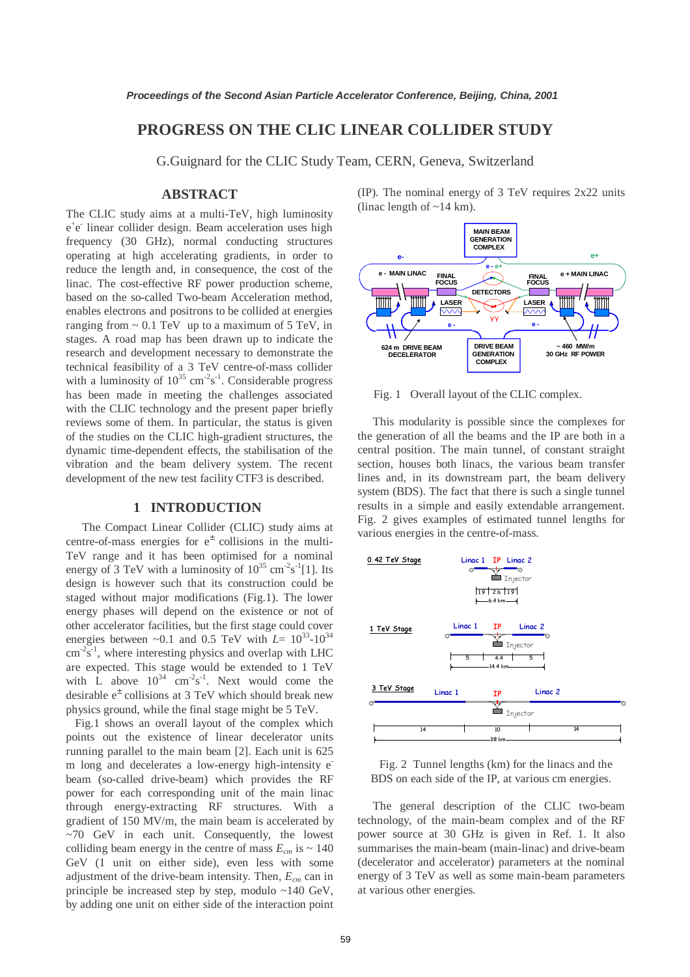# **PROGRESS ON THE CLIC LINEAR COLLIDER STUDY**

G.Guignard for the CLIC Study Team, CERN, Geneva, Switzerland

## **ABSTRACT**

The CLIC study aims at a multi-TeV, high luminosity e<sup>+</sup>e<sup>-</sup> linear collider design. Beam acceleration uses high frequency (30 GHz), normal conducting structures operating at high accelerating gradients, in order to reduce the length and, in consequence, the cost of the linac. The cost-effective RF power production scheme, based on the so-called Two-beam Acceleration method, enables electrons and positrons to be collided at energies ranging from  $\sim 0.1$  TeV up to a maximum of 5 TeV, in stages. A road map has been drawn up to indicate the research and development necessary to demonstrate the technical feasibility of a 3 TeV centre-of-mass collider with a luminosity of  $10^{35}$  cm<sup>-2</sup>s<sup>-1</sup>. Considerable progress has been made in meeting the challenges associated with the CLIC technology and the present paper briefly reviews some of them. In particular, the status is given of the studies on the CLIC high-gradient structures, the dynamic time-dependent effects, the stabilisation of the vibration and the beam delivery system. The recent development of the new test facility CTF3 is described.

### **1 INTRODUCTION**

The Compact Linear Collider (CLIC) study aims at centre-of-mass energies for  $e^{\pm}$  collisions in the multi-TeV range and it has been optimised for a nominal energy of 3 TeV with a luminosity of  $10^{35}$  cm<sup>-2</sup>s<sup>-1</sup>[1]. Its design is however such that its construction could be staged without major modifications (Fig.1). The lower energy phases will depend on the existence or not of other accelerator facilities, but the first stage could cover energies between ~0.1 and 0.5 TeV with  $L=10^{33}$ -10<sup>34</sup>  $\text{cm}^{-2}\text{s}^{-1}$ , where interesting physics and overlap with LHC are expected. This stage would be extended to 1 TeV with L above  $10^{34}$  cm<sup>-2</sup>s<sup>-1</sup>. Next would come the desirable  $e^{\pm}$  collisions at 3 TeV which should break new physics ground, while the final stage might be 5 TeV.

 Fig.1 shows an overall layout of the complex which points out the existence of linear decelerator units running parallel to the main beam [2]. Each unit is 625 m long and decelerates a low-energy high-intensity ebeam (so-called drive-beam) which provides the RF power for each corresponding unit of the main linac through energy-extracting RF structures. With a gradient of 150 MV/m, the main beam is accelerated by ~70 GeV in each unit. Consequently, the lowest colliding beam energy in the centre of mass  $E_{cm}$  is  $\sim 140$ GeV (1 unit on either side), even less with some adjustment of the drive-beam intensity. Then, *Ecm* can in principle be increased step by step, modulo ~140 GeV, by adding one unit on either side of the interaction point

(IP). The nominal energy of 3 TeV requires 2x22 units (linac length of  $\sim$  14 km).



Fig. 1 Overall layout of the CLIC complex.

 This modularity is possible since the complexes for the generation of all the beams and the IP are both in a central position. The main tunnel, of constant straight section, houses both linacs, the various beam transfer lines and, in its downstream part, the beam delivery system (BDS). The fact that there is such a single tunnel results in a simple and easily extendable arrangement. Fig. 2 gives examples of estimated tunnel lengths for various energies in the centre-of-mass.



 Fig. 2 Tunnel lengths (km) for the linacs and the BDS on each side of the IP, at various cm energies.

 The general description of the CLIC two-beam technology, of the main-beam complex and of the RF power source at 30 GHz is given in Ref. 1. It also summarises the main-beam (main-linac) and drive-beam (decelerator and accelerator) parameters at the nominal energy of 3 TeV as well as some main-beam parameters at various other energies.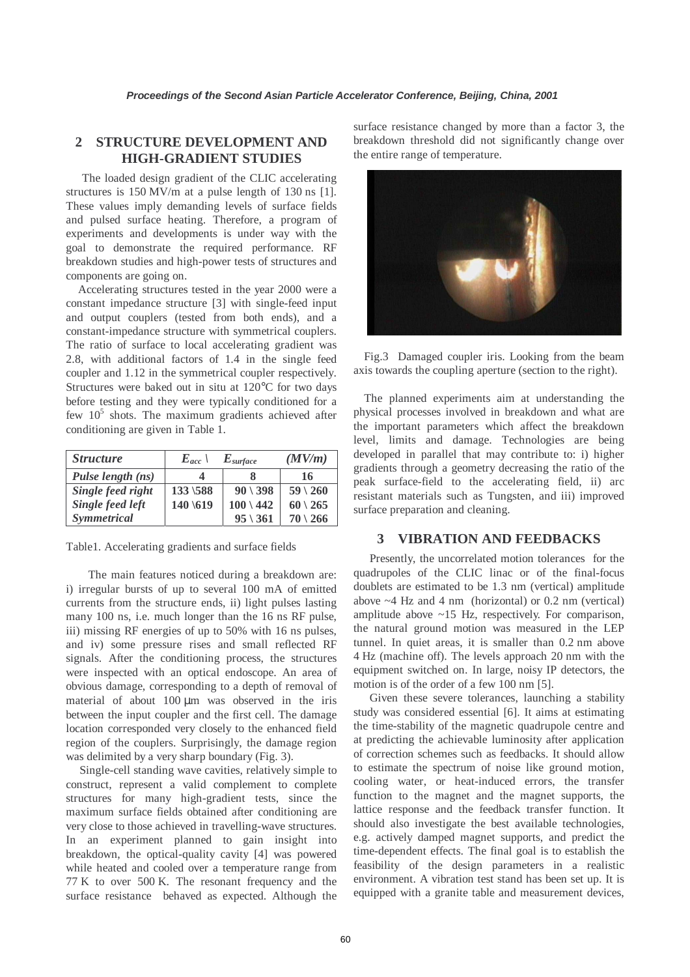## **2 STRUCTURE DEVELOPMENT AND HIGH-GRADIENT STUDIES**

The loaded design gradient of the CLIC accelerating structures is 150 MV/m at a pulse length of 130 ns [1]. These values imply demanding levels of surface fields and pulsed surface heating. Therefore, a program of experiments and developments is under way with the goal to demonstrate the required performance. RF breakdown studies and high-power tests of structures and components are going on.

 Accelerating structures tested in the year 2000 were a constant impedance structure [3] with single-feed input and output couplers (tested from both ends), and a constant-impedance structure with symmetrical couplers. The ratio of surface to local accelerating gradient was 2.8, with additional factors of 1.4 in the single feed coupler and 1.12 in the symmetrical coupler respectively. Structures were baked out in situ at 120°C for two days before testing and they were typically conditioned for a few  $10<sup>5</sup>$  shots. The maximum gradients achieved after conditioning are given in Table 1.

| <b>Structure</b>  | $E_{acc}$ | $E_{\text{surface}}$ | (MV/m)             |
|-------------------|-----------|----------------------|--------------------|
| Pulse length (ns) |           |                      | 16                 |
| Single feed right | 133 \588  | $90 \mid 398$        | $59 \mid 260$      |
| Single feed left  | 140 \619  | $100 \setminus 442$  | $60 \ 265$         |
| Symmetrical       |           | $95 \mid 361$        | $70 \setminus 266$ |

Table1. Accelerating gradients and surface fields

 The main features noticed during a breakdown are: i) irregular bursts of up to several 100 mA of emitted currents from the structure ends, ii) light pulses lasting many 100 ns, i.e. much longer than the 16 ns RF pulse, iii) missing RF energies of up to 50% with 16 ns pulses, and iv) some pressure rises and small reflected RF signals. After the conditioning process, the structures were inspected with an optical endoscope. An area of obvious damage, corresponding to a depth of removal of material of about 100  $\mu$ m was observed in the iris between the input coupler and the first cell. The damage location corresponded very closely to the enhanced field region of the couplers. Surprisingly, the damage region was delimited by a very sharp boundary (Fig. 3).

 Single-cell standing wave cavities, relatively simple to construct, represent a valid complement to complete structures for many high-gradient tests, since the maximum surface fields obtained after conditioning are very close to those achieved in travelling-wave structures. In an experiment planned to gain insight into breakdown, the optical-quality cavity [4] was powered while heated and cooled over a temperature range from 77 K to over 500 K. The resonant frequency and the surface resistance behaved as expected. Although the surface resistance changed by more than a factor 3, the breakdown threshold did not significantly change over the entire range of temperature.



Fig.3 Damaged coupler iris. Looking from the beam axis towards the coupling aperture (section to the right).

The planned experiments aim at understanding the physical processes involved in breakdown and what are the important parameters which affect the breakdown level, limits and damage. Technologies are being developed in parallel that may contribute to: i) higher gradients through a geometry decreasing the ratio of the peak surface-field to the accelerating field, ii) arc resistant materials such as Tungsten, and iii) improved surface preparation and cleaning.

## **3 VIBRATION AND FEEDBACKS**

Presently, the uncorrelated motion tolerances for the quadrupoles of the CLIC linac or of the final-focus doublets are estimated to be 1.3 nm (vertical) amplitude above  $~4$  Hz and 4 nm (horizontal) or 0.2 nm (vertical) amplitude above  $\sim$ 15 Hz, respectively. For comparison, the natural ground motion was measured in the LEP tunnel. In quiet areas, it is smaller than 0.2 nm above 4 Hz (machine off). The levels approach 20 nm with the equipment switched on. In large, noisy IP detectors, the motion is of the order of a few 100 nm [5].

Given these severe tolerances, launching a stability study was considered essential [6]. It aims at estimating the time-stability of the magnetic quadrupole centre and at predicting the achievable luminosity after application of correction schemes such as feedbacks. It should allow to estimate the spectrum of noise like ground motion, cooling water, or heat-induced errors, the transfer function to the magnet and the magnet supports, the lattice response and the feedback transfer function. It should also investigate the best available technologies, e.g. actively damped magnet supports, and predict the time-dependent effects. The final goal is to establish the feasibility of the design parameters in a realistic environment. A vibration test stand has been set up. It is equipped with a granite table and measurement devices,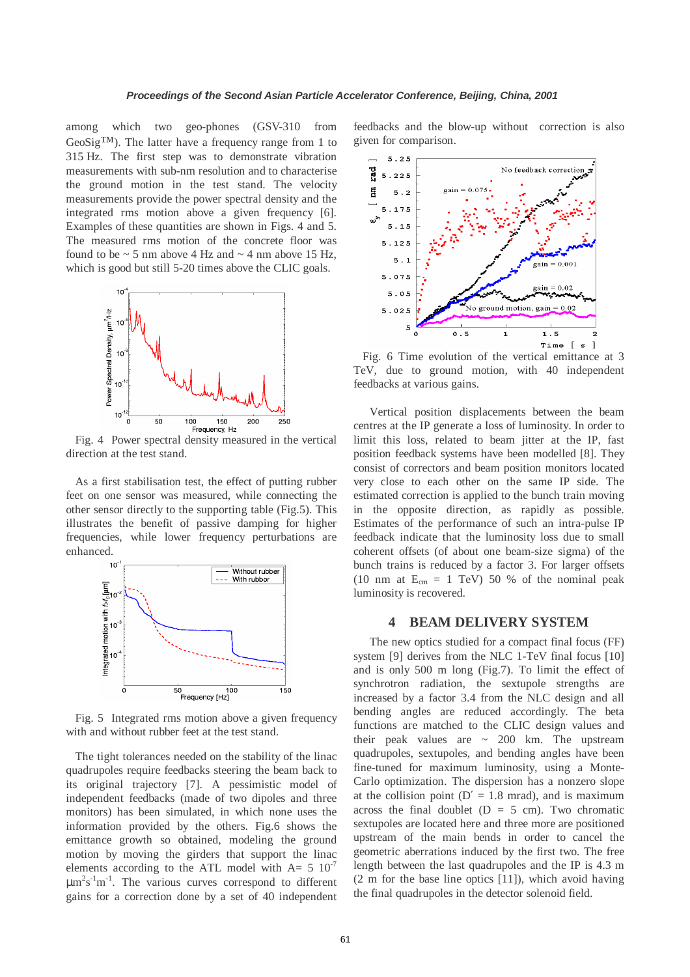among which two geo-phones (GSV-310 from  $Geosig<sup>TM</sup>$ . The latter have a frequency range from 1 to 315 Hz. The first step was to demonstrate vibration measurements with sub-nm resolution and to characterise the ground motion in the test stand. The velocity measurements provide the power spectral density and the integrated rms motion above a given frequency [6]. Examples of these quantities are shown in Figs. 4 and 5. The measured rms motion of the concrete floor was found to be  $\sim$  5 nm above 4 Hz and  $\sim$  4 nm above 15 Hz, which is good but still 5-20 times above the CLIC goals.



 Fig. 4 Power spectral density measured in the vertical direction at the test stand.

 As a first stabilisation test, the effect of putting rubber feet on one sensor was measured, while connecting the other sensor directly to the supporting table (Fig.5). This illustrates the benefit of passive damping for higher frequencies, while lower frequency perturbations are enhanced.



 Fig. 5 Integrated rms motion above a given frequency with and without rubber feet at the test stand.

 The tight tolerances needed on the stability of the linac quadrupoles require feedbacks steering the beam back to its original trajectory [7]. A pessimistic model of independent feedbacks (made of two dipoles and three monitors) has been simulated, in which none uses the information provided by the others. Fig.6 shows the emittance growth so obtained, modeling the ground motion by moving the girders that support the linac elements according to the ATL model with  $A=5$  10<sup>-7</sup>  $\mu$ m<sup>2</sup>s<sup>-1</sup>m<sup>-1</sup>. The various curves correspond to different gains for a correction done by a set of 40 independent

feedbacks and the blow-up without correction is also given for comparison.



 Fig. 6 Time evolution of the vertical emittance at 3 TeV, due to ground motion, with 40 independent feedbacks at various gains.

Vertical position displacements between the beam centres at the IP generate a loss of luminosity. In order to limit this loss, related to beam jitter at the IP, fast position feedback systems have been modelled [8]. They consist of correctors and beam position monitors located very close to each other on the same IP side. The estimated correction is applied to the bunch train moving in the opposite direction, as rapidly as possible. Estimates of the performance of such an intra-pulse IP feedback indicate that the luminosity loss due to small coherent offsets (of about one beam-size sigma) of the bunch trains is reduced by a factor 3. For larger offsets (10 nm at  $E_{cm} = 1$  TeV) 50 % of the nominal peak luminosity is recovered.

#### **4 BEAM DELIVERY SYSTEM**

The new optics studied for a compact final focus (FF) system [9] derives from the NLC 1-TeV final focus [10] and is only 500 m long (Fig.7). To limit the effect of synchrotron radiation, the sextupole strengths are increased by a factor 3.4 from the NLC design and all bending angles are reduced accordingly. The beta functions are matched to the CLIC design values and their peak values are  $\sim 200$  km. The upstream quadrupoles, sextupoles, and bending angles have been fine-tuned for maximum luminosity, using a Monte-Carlo optimization. The dispersion has a nonzero slope at the collision point ( $D' = 1.8$  mrad), and is maximum across the final doublet  $(D = 5$  cm). Two chromatic sextupoles are located here and three more are positioned upstream of the main bends in order to cancel the geometric aberrations induced by the first two. The free length between the last quadrupoles and the IP is 4.3 m (2 m for the base line optics [11]), which avoid having the final quadrupoles in the detector solenoid field.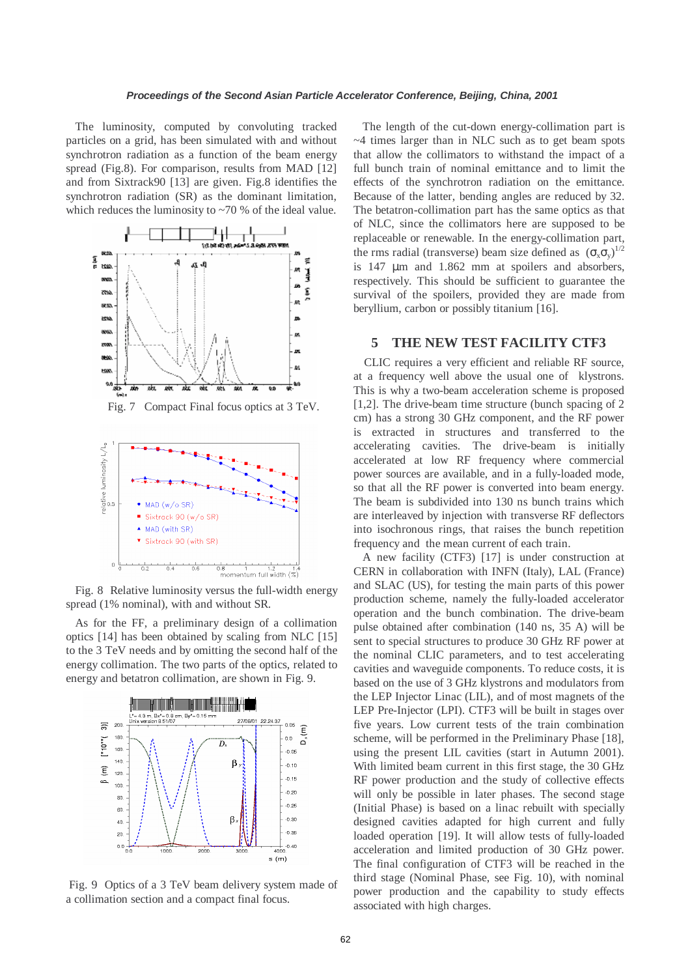The luminosity, computed by convoluting tracked particles on a grid, has been simulated with and without synchrotron radiation as a function of the beam energy spread (Fig.8). For comparison, results from MAD [12] and from Sixtrack90 [13] are given. Fig.8 identifies the synchrotron radiation (SR) as the dominant limitation, which reduces the luminosity to ~70 % of the ideal value.



Fig. 7 Compact Final focus optics at 3 TeV.



 Fig. 8 Relative luminosity versus the full-width energy spread (1% nominal), with and without SR.

 As for the FF, a preliminary design of a collimation optics [14] has been obtained by scaling from NLC [15] to the 3 TeV needs and by omitting the second half of the energy collimation. The two parts of the optics, related to energy and betatron collimation, are shown in Fig. 9.



 Fig. 9 Optics of a 3 TeV beam delivery system made of a collimation section and a compact final focus.

 The length of the cut-down energy-collimation part is ~4 times larger than in NLC such as to get beam spots that allow the collimators to withstand the impact of a full bunch train of nominal emittance and to limit the effects of the synchrotron radiation on the emittance. Because of the latter, bending angles are reduced by 32. The betatron-collimation part has the same optics as that of NLC, since the collimators here are supposed to be replaceable or renewable. In the energy-collimation part, the rms radial (transverse) beam size defined as  $(\sigma_x \sigma_y)^{1/2}$ is 147 µm and 1.862 mm at spoilers and absorbers, respectively. This should be sufficient to guarantee the survival of the spoilers, provided they are made from beryllium, carbon or possibly titanium [16].

#### **5 THE NEW TEST FACILITY CTF3**

CLIC requires a very efficient and reliable RF source, at a frequency well above the usual one of klystrons. This is why a two-beam acceleration scheme is proposed [1,2]. The drive-beam time structure (bunch spacing of 2 cm) has a strong 30 GHz component, and the RF power is extracted in structures and transferred to the accelerating cavities. The drive-beam is initially accelerated at low RF frequency where commercial power sources are available, and in a fully-loaded mode, so that all the RF power is converted into beam energy. The beam is subdivided into 130 ns bunch trains which are interleaved by injection with transverse RF deflectors into isochronous rings, that raises the bunch repetition frequency and the mean current of each train.

 A new facility (CTF3) [17] is under construction at CERN in collaboration with INFN (Italy), LAL (France) and SLAC (US), for testing the main parts of this power production scheme, namely the fully-loaded accelerator operation and the bunch combination. The drive-beam pulse obtained after combination (140 ns, 35 A) will be sent to special structures to produce 30 GHz RF power at the nominal CLIC parameters, and to test accelerating cavities and waveguide components. To reduce costs, it is based on the use of 3 GHz klystrons and modulators from the LEP Injector Linac (LIL), and of most magnets of the LEP Pre-Injector (LPI). CTF3 will be built in stages over five years. Low current tests of the train combination scheme, will be performed in the Preliminary Phase [18], using the present LIL cavities (start in Autumn 2001). With limited beam current in this first stage, the 30 GHz RF power production and the study of collective effects will only be possible in later phases. The second stage (Initial Phase) is based on a linac rebuilt with specially designed cavities adapted for high current and fully loaded operation [19]. It will allow tests of fully-loaded acceleration and limited production of 30 GHz power. The final configuration of CTF3 will be reached in the third stage (Nominal Phase, see Fig. 10), with nominal power production and the capability to study effects associated with high charges.